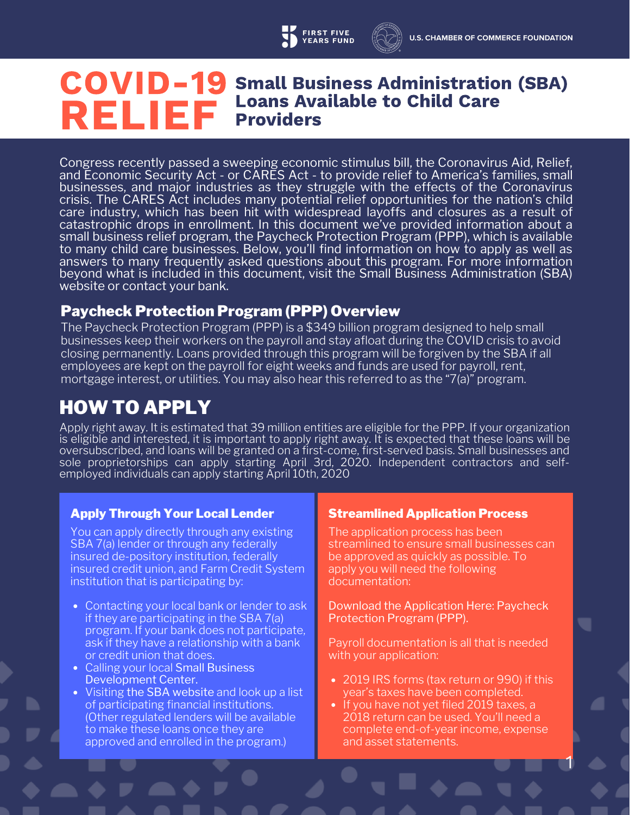#### COVID-19 RELIEF Small Business Administration (SBA) Loans Available to Child Care Providers

Congress recently passed a sweeping economic stimulus bill, the Coronavirus Aid, Relief, and Economic Security Act - or CARES Act - to provide relief to America's families, small businesses, and major industries as they struggle with the effects of the Coronavirus crisis. The CARES Act includes many potential relief opportunities for the nation's child care industry, which has been hit with widespread layoffs and closures as a result of catastrophic drops in enrollment. In this document we've provided information about a small business relief program, the Paycheck Protection Program (PPP), which is available to many child care businesses. Below, you'll find information on how to apply as well as answers to many frequently asked questions about this program. For more information beyond what is included in this document, visit the Small Business Administration (SBA) website or contact your bank.

### Paycheck Protection Program (PPP) Overview

The Paycheck Protection Program (PPP) is a \$349 billion program designed to help small businesses keep their workers on the payroll and stay afloat during the COVID crisis to avoid closing permanently. Loans provided through this program will be forgiven by the SBA if all employees are kept on the payroll for eight weeks and funds are used for payroll, rent, mortgage interest, or utilities. You may also hear this referred to as the "7(a)" program.

## HOW TO APPLY

Apply right away. It is estimated that 39 million entities are eligible for the PPP. If your organization is eligible and interested, it is important to apply right away. It is expected that these loans will be oversubscribed, and loans will be granted on a first-come, first-served basis. Small businesses and sole proprietorships can apply starting April 3rd, 2020. Independent contractors and selfemployed individuals can apply starting April 10th, 2020

#### Apply Through Your Local Lender Streamlined Application Process

You can apply directly through any existing SBA 7(a) lender or through any federally insured de-pository institution, federally insured credit union, and Farm Credit System institution that is participating by:

- Contacting your local bank or lender to ask if they are participating in the SBA 7(a) program. If your bank does not participate, ask if they have a relationship with a bank or credit union that does.
- Calling your local Small Business Development Center.
- Visiting the SBA website and look up a list of participating financial institutions. (Other regulated lenders will be available to make these loans once they are approved and enrolled in the program.)

The application process has been streamlined to ensure small businesses can be approved as quickly as possible. To apply you will need the following documentation:

Download the Application Here: Paycheck Protection Program (PPP).

Payroll documentation is all that is needed with your application:

- 2019 IRS forms (tax return or 990) if this year's taxes have been completed.
- If you have not yet filed 2019 taxes, a 2018 return can be used. You'll need a complete end-of-year income, expense and asset statements.

1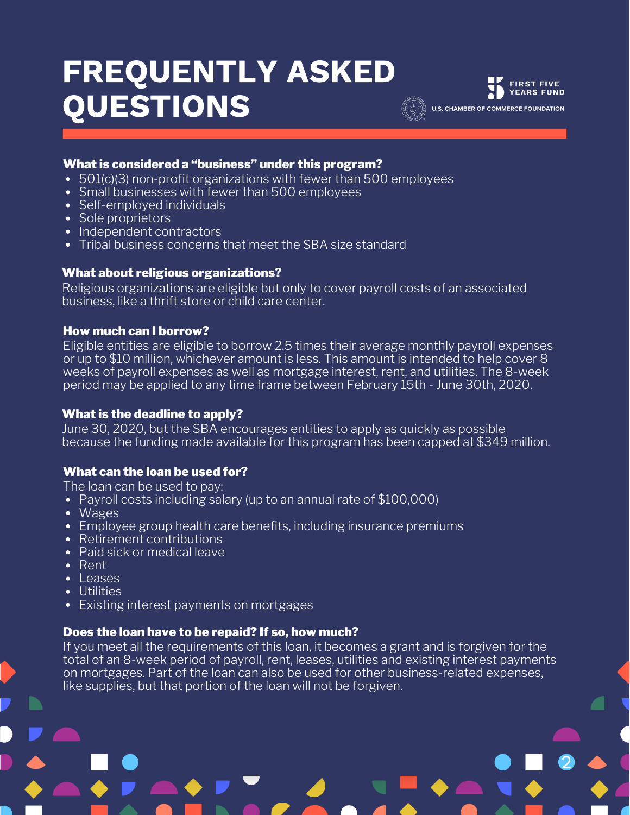# FREQUENTLY ASKED QUESTIONS



2

#### What is considered a "business" under this program?

- 501(c)(3) non-profit organizations with fewer than 500 employees
- Small businesses with fewer than 500 employees
- Self-employed individuals
- Sole proprietors
- Independent contractors
- Tribal business concerns that meet the SBA size standard

#### What about religious organizations?

Religious organizations are eligible but only to cover payroll costs of an associated business, like a thrift store or child care center.

#### How much can I borrow?

Eligible entities are eligible to borrow 2.5 times their average monthly payroll expenses or up to \$10 million, whichever amount is less. This amount is intended to help cover 8 weeks of payroll expenses as well as mortgage interest, rent, and utilities. The 8-week period may be applied to any time frame between February 15th - June 30th, 2020.

#### What is the deadline to apply?

June 30, 2020, but the SBA encourages entities to apply as quickly as possible because the funding made available for this program has been capped at \$349 million.

#### What can the loan be used for?

The loan can be used to pay:

- Payroll costs including salary (up to an annual rate of \$100,000)
- Wages
- Employee group health care benefits, including insurance premiums
- Retirement contributions
- Paid sick or medical leave
- Rent
- $\cdot$  Leases
- Utilities
- Existing interest payments on mortgages

#### Does the loan have to be repaid? If so, how much?

If you meet all the requirements of this loan, it becomes a grant and is forgiven for the total of an 8-week period of payroll, rent, leases, utilities and existing interest payments on mortgages. Part of the loan can also be used for other business-related expenses, like supplies, but that portion of the loan will not be forgiven.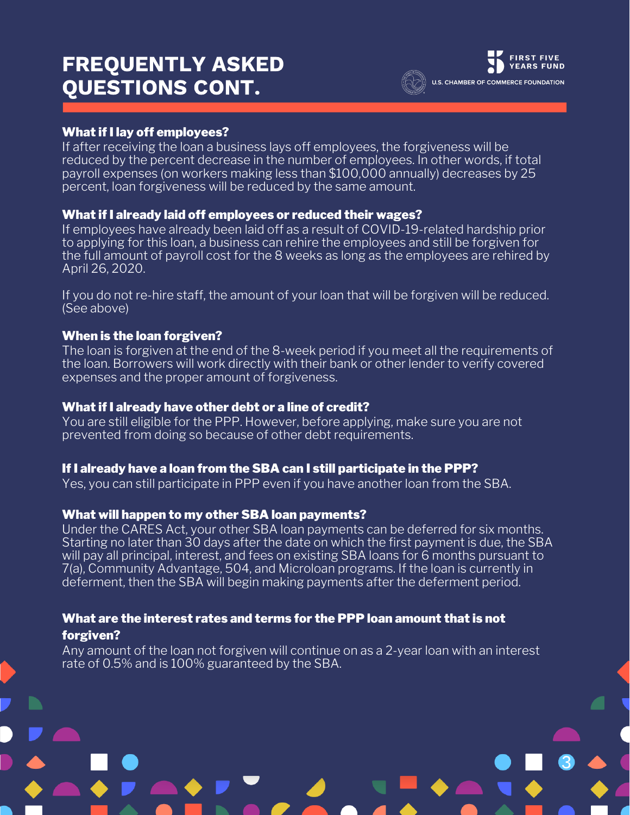## FREQUENTLY ASKED QUESTIONS CONT.



3

#### What if I lay off employees?

If after receiving the loan a business lays off employees, the forgiveness will be reduced by the percent decrease in the number of employees. In other words, if total payroll expenses (on workers making less than \$100,000 annually) decreases by 25 percent, loan forgiveness will be reduced by the same amount.

#### What if I already laid off employees or reduced their wages?

If employees have already been laid off as a result of COVID-19-related hardship prior to applying for this loan, a business can rehire the employees and still be forgiven for the full amount of payroll cost for the 8 weeks as long as the employees are rehired by April 26, 2020.

If you do not re-hire staff, the amount of your loan that will be forgiven will be reduced. (See above)

#### When is the loan forgiven?

The loan is forgiven at the end of the 8-week period if you meet all the requirements of the loan. Borrowers will work directly with their bank or other lender to verify covered expenses and the proper amount of forgiveness.

#### What if I already have other debt or a line of credit?

You are still eligible for the PPP. However, before applying, make sure you are not prevented from doing so because of other debt requirements.

#### If I already have a loan from the SBA can I still participate in the PPP?

Yes, you can still participate in PPP even if you have another loan from the SBA.

#### What will happen to my other SBA loan payments?

Under the CARES Act, your other SBA loan payments can be deferred for six months. Starting no later than 30 days after the date on which the first payment is due, the SBA will pay all principal, interest, and fees on existing SBA loans for 6 months pursuant to 7(a), Community Advantage, 504, and Microloan programs. If the loan is currently in deferment, then the SBA will begin making payments after the deferment period.

#### What are the interest rates and terms for the PPP loan amount that is not forgiven?

Any amount of the loan not forgiven will continue on as a 2-year loan with an interest rate of 0.5% and is 100% guaranteed by the SBA.